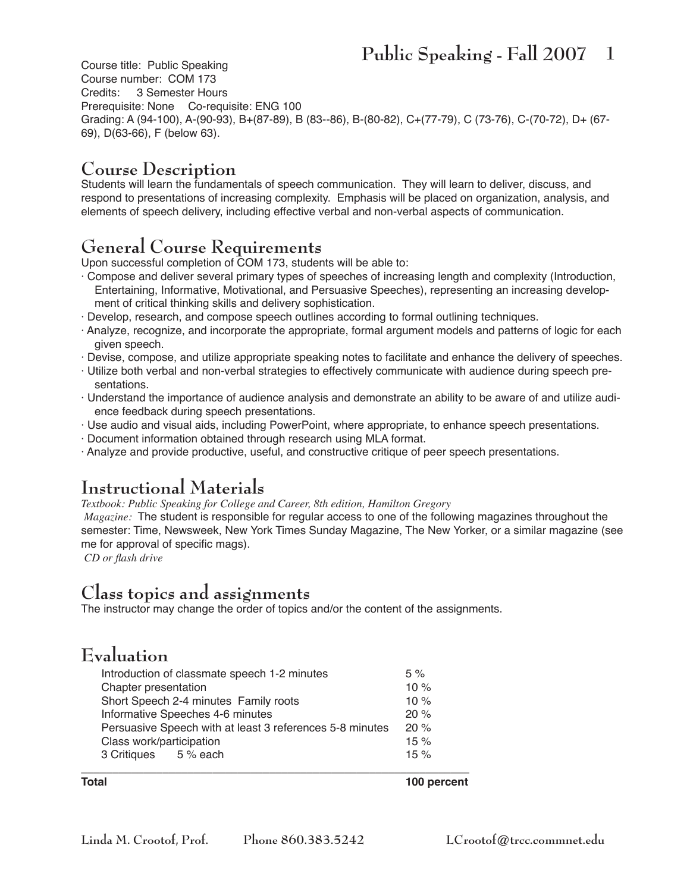Course title: Public Speaking Course number: COM 173<br>Credits: 3 Semester Hou 3 Semester Hours Prerequisite: None Co-requisite: ENG 100 Grading: A (94-100), A-(90-93), B+(87-89), B (83--86), B-(80-82), C+(77-79), C (73-76), C-(70-72), D+ (67- 69), D(63-66), F (below 63).

#### **Course Description**

Students will learn the fundamentals of speech communication. They will learn to deliver, discuss, and respond to presentations of increasing complexity. Emphasis will be placed on organization, analysis, and elements of speech delivery, including effective verbal and non-verbal aspects of communication.

#### **General Course Requirements**

Upon successful completion of COM 173, students will be able to:

- · Compose and deliver several primary types of speeches of increasing length and complexity (Introduction, Entertaining, Informative, Motivational, and Persuasive Speeches), representing an increasing development of critical thinking skills and delivery sophistication.
- · Develop, research, and compose speech outlines according to formal outlining techniques.
- · Analyze, recognize, and incorporate the appropriate, formal argument models and patterns of logic for each given speech.
- · Devise, compose, and utilize appropriate speaking notes to facilitate and enhance the delivery of speeches.
- · Utilize both verbal and non-verbal strategies to effectively communicate with audience during speech presentations.
- · Understand the importance of audience analysis and demonstrate an ability to be aware of and utilize audience feedback during speech presentations.
- · Use audio and visual aids, including PowerPoint, where appropriate, to enhance speech presentations.
- · Document information obtained through research using MLA format.
- · Analyze and provide productive, useful, and constructive critique of peer speech presentations.

#### **Instructional Materials**

*Textbook: Public Speaking for College and Career, 8th edition, Hamilton Gregory*

 *Magazine:* The student is responsible for regular access to one of the following magazines throughout the semester: Time, Newsweek, New York Times Sunday Magazine, The New Yorker, or a similar magazine (see me for approval of specific mags).

*CD or flash drive*

#### **Class topics and assignments**

The instructor may change the order of topics and/or the content of the assignments.

#### **Evaluation**

| Introduction of classmate speech 1-2 minutes             |  | 5%     |
|----------------------------------------------------------|--|--------|
| Chapter presentation                                     |  | 10 $%$ |
| Short Speech 2-4 minutes Family roots                    |  | 10 $%$ |
| Informative Speeches 4-6 minutes                         |  | 20%    |
| Persuasive Speech with at least 3 references 5-8 minutes |  | 20%    |
| Class work/participation                                 |  | 15%    |
| 3 Critiques 5 % each                                     |  | 15%    |
|                                                          |  |        |

**Total 100 percent**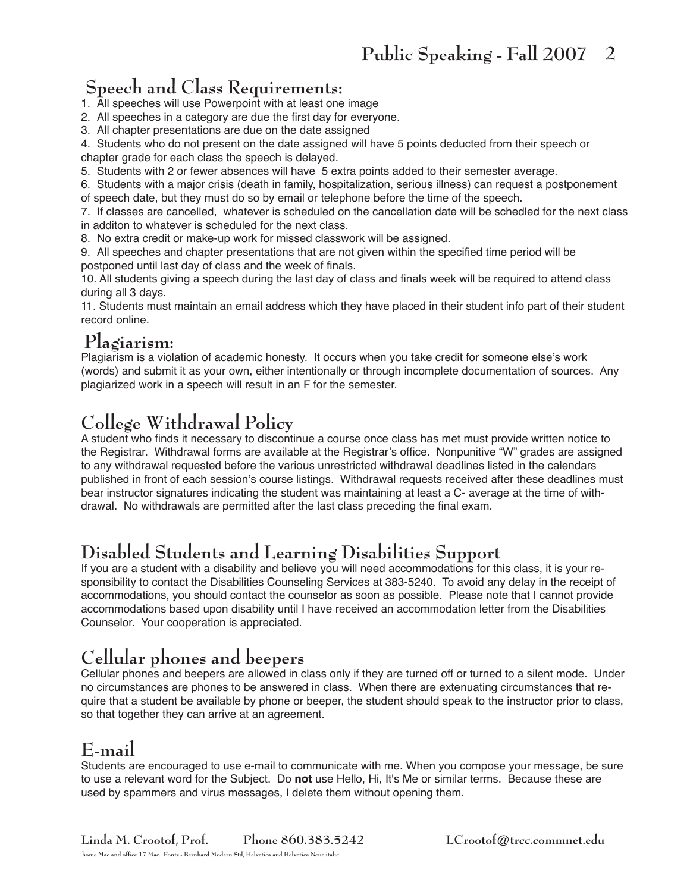## **Speech and Class Requirements:**

1. All speeches will use Powerpoint with at least one image

- 2. All speeches in a category are due the first day for everyone.
- 3. All chapter presentations are due on the date assigned

4. Students who do not present on the date assigned will have 5 points deducted from their speech or chapter grade for each class the speech is delayed.

5. Students with 2 or fewer absences will have 5 extra points added to their semester average.

6. Students with a major crisis (death in family, hospitalization, serious illness) can request a postponement of speech date, but they must do so by email or telephone before the time of the speech.

7. If classes are cancelled, whatever is scheduled on the cancellation date will be schedled for the next class in additon to whatever is scheduled for the next class.

8. No extra credit or make-up work for missed classwork will be assigned.

9. All speeches and chapter presentations that are not given within the specified time period will be postponed until last day of class and the week of finals.

10. All students giving a speech during the last day of class and finals week will be required to attend class during all 3 days.

11. Students must maintain an email address which they have placed in their student info part of their student record online.

## **Plagiarism:**

Plagiarism is a violation of academic honesty. It occurs when you take credit for someone else's work (words) and submit it as your own, either intentionally or through incomplete documentation of sources. Any plagiarized work in a speech will result in an F for the semester.

### **College Withdrawal Policy**

A student who finds it necessary to discontinue a course once class has met must provide written notice to the Registrar. Withdrawal forms are available at the Registrar's office. Nonpunitive "W" grades are assigned to any withdrawal requested before the various unrestricted withdrawal deadlines listed in the calendars published in front of each session's course listings. Withdrawal requests received after these deadlines must bear instructor signatures indicating the student was maintaining at least a C- average at the time of withdrawal. No withdrawals are permitted after the last class preceding the final exam.

## **Disabled Students and Learning Disabilities Support**

If you are a student with a disability and believe you will need accommodations for this class, it is your responsibility to contact the Disabilities Counseling Services at 383-5240. To avoid any delay in the receipt of accommodations, you should contact the counselor as soon as possible. Please note that I cannot provide accommodations based upon disability until I have received an accommodation letter from the Disabilities Counselor. Your cooperation is appreciated.

# **Cellular phones and beepers**

Cellular phones and beepers are allowed in class only if they are turned off or turned to a silent mode. Under no circumstances are phones to be answered in class. When there are extenuating circumstances that require that a student be available by phone or beeper, the student should speak to the instructor prior to class, so that together they can arrive at an agreement.

### **E-mail**

Students are encouraged to use e-mail to communicate with me. When you compose your message, be sure to use a relevant word for the Subject. Do **not** use Hello, Hi, It's Me or similar terms. Because these are used by spammers and virus messages, I delete them without opening them.